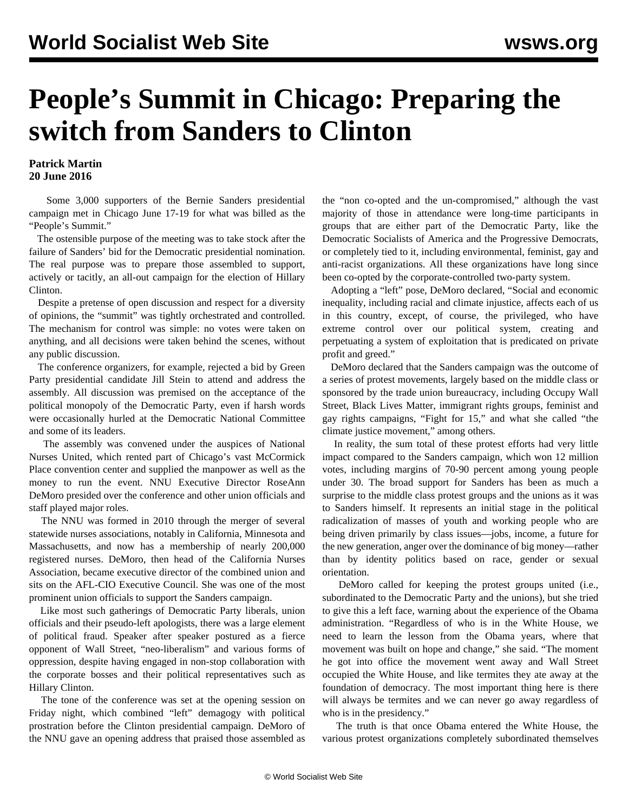## **People's Summit in Chicago: Preparing the switch from Sanders to Clinton**

## **Patrick Martin 20 June 2016**

 Some 3,000 supporters of the Bernie Sanders presidential campaign met in Chicago June 17-19 for what was billed as the "People's Summit."

 The ostensible purpose of the meeting was to take stock after the failure of Sanders' bid for the Democratic presidential nomination. The real purpose was to prepare those assembled to support, actively or tacitly, an all-out campaign for the election of Hillary Clinton.

 Despite a pretense of open discussion and respect for a diversity of opinions, the "summit" was tightly orchestrated and controlled. The mechanism for control was simple: no votes were taken on anything, and all decisions were taken behind the scenes, without any public discussion.

 The conference organizers, for example, rejected a bid by Green Party presidential candidate Jill Stein to attend and address the assembly. All discussion was premised on the acceptance of the political monopoly of the Democratic Party, even if harsh words were occasionally hurled at the Democratic National Committee and some of its leaders.

 The assembly was convened under the auspices of National Nurses United, which rented part of Chicago's vast McCormick Place convention center and supplied the manpower as well as the money to run the event. NNU Executive Director RoseAnn DeMoro presided over the conference and other union officials and staff played major roles.

 The NNU was formed in 2010 through the merger of several statewide nurses associations, notably in California, Minnesota and Massachusetts, and now has a membership of nearly 200,000 registered nurses. DeMoro, then head of the California Nurses Association, became executive director of the combined union and sits on the AFL-CIO Executive Council. She was one of the most prominent union officials to support the Sanders campaign.

 Like most such gatherings of Democratic Party liberals, union officials and their pseudo-left apologists, there was a large element of political fraud. Speaker after speaker postured as a fierce opponent of Wall Street, "neo-liberalism" and various forms of oppression, despite having engaged in non-stop collaboration with the corporate bosses and their political representatives such as Hillary Clinton.

 The tone of the conference was set at the opening session on Friday night, which combined "left" demagogy with political prostration before the Clinton presidential campaign. DeMoro of the NNU gave an opening address that praised those assembled as the "non co-opted and the un-compromised," although the vast majority of those in attendance were long-time participants in groups that are either part of the Democratic Party, like the Democratic Socialists of America and the Progressive Democrats, or completely tied to it, including environmental, feminist, gay and anti-racist organizations. All these organizations have long since been co-opted by the corporate-controlled two-party system.

 Adopting a "left" pose, DeMoro declared, "Social and economic inequality, including racial and climate injustice, affects each of us in this country, except, of course, the privileged, who have extreme control over our political system, creating and perpetuating a system of exploitation that is predicated on private profit and greed."

 DeMoro declared that the Sanders campaign was the outcome of a series of protest movements, largely based on the middle class or sponsored by the trade union bureaucracy, including Occupy Wall Street, Black Lives Matter, immigrant rights groups, feminist and gay rights campaigns, "Fight for 15," and what she called "the climate justice movement," among others.

 In reality, the sum total of these protest efforts had very little impact compared to the Sanders campaign, which won 12 million votes, including margins of 70-90 percent among young people under 30. The broad support for Sanders has been as much a surprise to the middle class protest groups and the unions as it was to Sanders himself. It represents an initial stage in the political radicalization of masses of youth and working people who are being driven primarily by class issues—jobs, income, a future for the new generation, anger over the dominance of big money—rather than by identity politics based on race, gender or sexual orientation.

 DeMoro called for keeping the protest groups united (i.e., subordinated to the Democratic Party and the unions), but she tried to give this a left face, warning about the experience of the Obama administration. "Regardless of who is in the White House, we need to learn the lesson from the Obama years, where that movement was built on hope and change," she said. "The moment he got into office the movement went away and Wall Street occupied the White House, and like termites they ate away at the foundation of democracy. The most important thing here is there will always be termites and we can never go away regardless of who is in the presidency."

 The truth is that once Obama entered the White House, the various protest organizations completely subordinated themselves